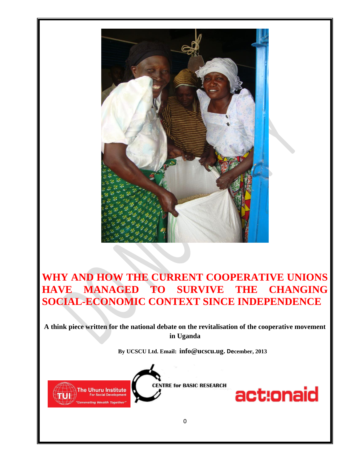

# **WHY AND HOW THE CURRENT COOPERATIVE UNIONS HAVE MANAGED TO SURVIVE THE CHANGING SOCIAL-ECONOMIC CONTEXT SINCE INDEPENDENCE**

**A think piece written for the national debate on the revitalisation of the cooperative movement in Uganda**

**By UCSCU Ltd. Email: [info@ucscu.ug](mailto:info@ucscu.ug). December, 2013**



**ENTRE for BASIC RESEARCH** 

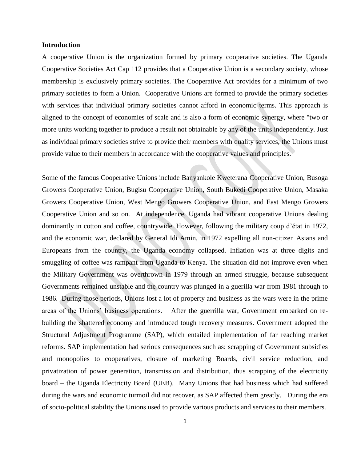#### **Introduction**

A cooperative Union is the organization formed by primary cooperative societies. The Uganda Cooperative Societies Act Cap 112 provides that a Cooperative Union is a secondary society, whose membership is exclusively primary societies. The Cooperative Act provides for a minimum of two primary societies to form a Union. Cooperative Unions are formed to provide the primary societies with services that individual primary societies cannot afford in economic terms. This approach is aligned to the concept of [economies of scale](http://en.wikipedia.org/wiki/Economies_of_scale) and is also a form of economic [synergy,](http://en.wikipedia.org/wiki/Synergy) where "two or more units working together to produce a result not obtainable by any of the units independently. Just as individual primary societies strive to provide their members with quality services, the Unions must provide value to their members in accordance with the cooperative values and principles.

Some of the famous Cooperative Unions include Banyankole Kweterana Cooperative Union, Busoga Growers Cooperative Union, Bugisu Cooperative Union, South Bukedi Cooperative Union, Masaka Growers Cooperative Union, West Mengo Growers Cooperative Union, and East Mengo Growers Cooperative Union and so on. At independence, Uganda had vibrant cooperative Unions dealing dominantly in cotton and coffee, countrywide. However, following the military coup d'état in 1972, and the economic war, declared by General Idi Amin, in 1972 expelling all non-citizen Asians and Europeans from the country, the Uganda economy collapsed. Inflation was at three digits and smuggling of coffee was rampant from Uganda to Kenya. The situation did not improve even when the Military Government was overthrown in 1979 through an armed struggle, because subsequent Governments remained unstable and the country was plunged in a guerilla war from 1981 through to 1986. During those periods, Unions lost a lot of property and business as the wars were in the prime areas of the Unions' business operations. After the guerrilla war, Government embarked on rebuilding the shattered economy and introduced tough recovery measures. Government adopted the Structural Adjustment Programme (SAP), which entailed implementation of far reaching market reforms. SAP implementation had serious consequences such as: scrapping of Government subsidies and monopolies to cooperatives, closure of marketing Boards, civil service reduction, and privatization of power generation, transmission and distribution, thus scrapping of the electricity board – the Uganda Electricity Board (UEB). Many Unions that had business which had suffered during the wars and economic turmoil did not recover, as SAP affected them greatly. During the era of socio-political stability the Unions used to provide various products and services to their members.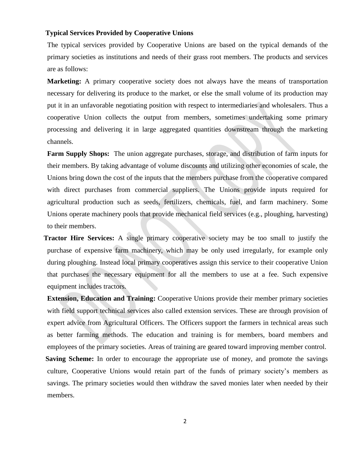#### **Typical Services Provided by Cooperative Unions**

The typical services provided by Cooperative Unions are based on the typical demands of the primary societies as institutions and needs of their grass root members. The products and services are as follows:

**Marketing:** A primary cooperative society does not always have the means of transportation necessary for delivering its produce to the market, or else the small volume of its production may put it in an unfavorable negotiating position with respect to intermediaries and wholesalers. Thus a cooperative Union collects the output from members, sometimes undertaking some primary processing and delivering it in large aggregated quantities downstream through the marketing channels.

 **Farm Supply Shops:** The union aggregate purchases, storage, and distribution of farm inputs for their members. By taking advantage of volume discounts and utilizing other economies of scale, the Unions bring down the cost of the inputs that the members purchase from the cooperative compared with direct purchases from commercial suppliers. The Unions provide inputs required for agricultural production such as seeds, fertilizers, chemicals, fuel, and farm machinery. Some Unions operate machinery pools that provide mechanical field services (e.g., ploughing, harvesting) to their members.

 **Tractor Hire Services:** A single primary cooperative society may be too small to justify the purchase of expensive farm machinery, which may be only used irregularly, for example only during ploughing. Instead local primary cooperatives assign this service to their cooperative Union that purchases the necessary equipment for all the members to use at a fee. Such expensive equipment includes tractors.

**Extension, Education and Training:** Cooperative Unions provide their member primary societies with field support technical services also called extension services. These are through provision of expert advice from Agricultural Officers. The Officers support the farmers in technical areas such as better farming methods. The education and training is for members, board members and employees of the primary societies. Areas of training are geared toward improving member control.

 **Saving Scheme:** In order to encourage the appropriate use of money, and promote the savings culture, Cooperative Unions would retain part of the funds of primary society's members as savings. The primary societies would then withdraw the saved monies later when needed by their members.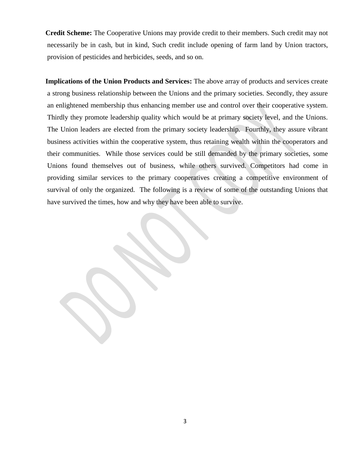**Credit Scheme:** The Cooperative Unions may provide credit to their members. Such credit may not necessarily be in cash, but in kind, Such credit include opening of farm land by Union tractors, provision of pesticides and herbicides, seeds, and so on.

 **Implications of the Union Products and Services:** The above array of products and services create a strong business relationship between the Unions and the primary societies. Secondly, they assure an enlightened membership thus enhancing member use and control over their cooperative system. Thirdly they promote leadership quality which would be at primary society level, and the Unions. The Union leaders are elected from the primary society leadership. Fourthly, they assure vibrant business activities within the cooperative system, thus retaining wealth within the cooperators and their communities. While those services could be still demanded by the primary societies, some Unions found themselves out of business, while others survived. Competitors had come in providing similar services to the primary cooperatives creating a competitive environment of survival of only the organized. The following is a review of some of the outstanding Unions that have survived the times, how and why they have been able to survive.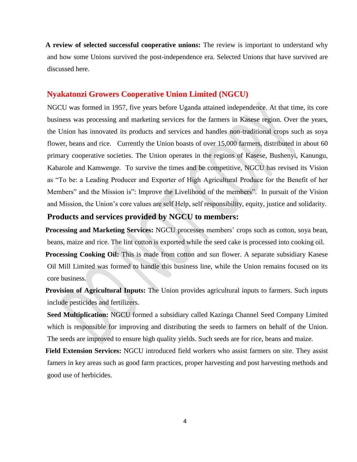**A review of selected successful cooperative unions:** The review is important to understand why and how some Unions survived the post-independence era. Selected Unions that have survived are discussed here.

### **Nyakatonzi Growers Cooperative Union Limited (NGCU)**

NGCU was formed in 1957, five years before Uganda attained independence. At that time, its core business was processing and marketing services for the farmers in Kasese region. Over the years, the Union has innovated its products and services and handles non-traditional crops such as soya flower, beans and rice. Currently the Union boasts of over 15,000 farmers, distributed in about 60 primary cooperative societies. The Union operates in the regions of Kasese, Bushenyi, Kanungu, Kabarole and Kamwenge. To survive the times and be competitive, NGCU has revised its Vision as "To be: a Leading Producer and Exporter of High Agricultural Produce for the Benefit of her Members" and the Mission is": Improve the Livelihood of the members". In pursuit of the Vision and Mission, the Union's core values are self Help, self responsibility, equity, justice and solidarity.

## **Products and services provided by NGCU to members:**

 **Processing and Marketing Services:** NGCU processes members' crops such as cotton, soya bean, beans, maize and rice. The lint cotton is exported while the seed cake is processed into cooking oil. **Processing Cooking Oil:** This is made from cotton and sun flower. A separate subsidiary Kasese Oil Mill Limited was formed to handle this business line, while the Union remains focused on its core business.

 **Provision of Agricultural Inputs:** The Union provides agricultural inputs to farmers. Such inputs include pesticides and fertilizers.

**Seed Multiplication:** NGCU formed a subsidiary called Kazinga Channel Seed Company Limited which is responsible for improving and distributing the seeds to farmers on behalf of the Union. The seeds are improved to ensure high quality yields. Such seeds are for rice, beans and maize.

 **Field Extension Services:** NGCU introduced field workers who assist farmers on site. They assist famers in key areas such as good farm practices, proper harvesting and post harvesting methods and good use of herbicides.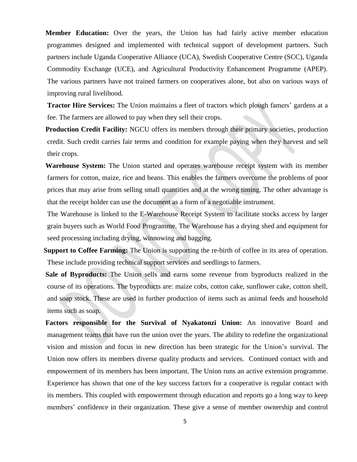**Member Education:** Over the years, the Union has had fairly active member education programmes designed and implemented with technical support of development partners. Such partners include Uganda Cooperative Alliance (UCA), Swedish Cooperative Centre (SCC), Uganda Commodity Exchange (UCE), and Agricultural Productivity Enhancement Programme (APEP). The various partners have not trained farmers on cooperatives alone, but also on various ways of improving rural livelihood.

**Tractor Hire Services:** The Union maintains a fleet of tractors which plough famers' gardens at a fee. The farmers are allowed to pay when they sell their crops.

**Production Credit Facility:** NGCU offers its members through their primary societies, production credit. Such credit carries fair terms and condition for example paying when they harvest and sell their crops.

 **Warehouse System:** The Union started and operates warehouse receipt system with its member farmers for cotton, maize, rice and beans. This enables the farmers overcome the problems of poor prices that may arise from selling small quantities and at the wrong timing. The other advantage is that the receipt holder can use the document as a form of a negotiable instrument.

The Warehouse is linked to the E-Warehouse Receipt System to facilitate stocks access by larger grain buyers such as World Food Programme. The Warehouse has a drying shed and equipment for seed processing including drying, winnowing and bagging.

 **Support to Coffee Farming:** The Union is supporting the re-birth of coffee in its area of operation. These include providing technical support services and seedlings to farmers.

 **Sale of Byproducts:** The Union sells and earns some revenue from byproducts realized in the course of its operations. The byproducts are: maize cobs, cotton cake, sunflower cake, cotton shell, and soap stock. These are used in further production of items such as animal feeds and household items such as soap.

 **Factors responsible for the Survival of Nyakatonzi Union:** An innovative Board and management teams that have run the union over the years. The ability to redefine the organizational vision and mission and focus in new direction has been strategic for the Union's survival. The Union now offers its members diverse quality products and services. Continued contact with and empowerment of its members has been important. The Union runs an active extension programme. Experience has shown that one of the key success factors for a cooperative is regular contact with its members. This coupled with empowerment through education and reports go a long way to keep members' confidence in their organization. These give a sense of member ownership and control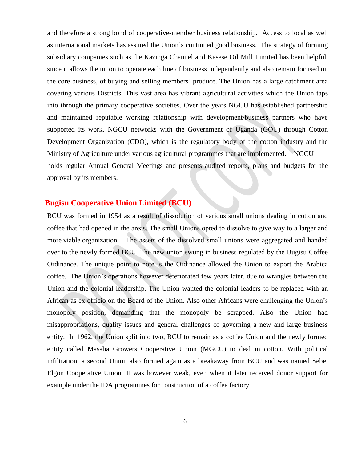and therefore a strong bond of cooperative-member business relationship. Access to local as well as international markets has assured the Union's continued good business. The strategy of forming subsidiary companies such as the Kazinga Channel and Kasese Oil Mill Limited has been helpful, since it allows the union to operate each line of business independently and also remain focused on the core business, of buying and selling members' produce. The Union has a large catchment area covering various Districts. This vast area has vibrant agricultural activities which the Union taps into through the primary cooperative societies. Over the years NGCU has established partnership and maintained reputable working relationship with development/business partners who have supported its work. NGCU networks with the Government of Uganda (GOU) through Cotton Development Organization (CDO), which is the regulatory body of the cotton industry and the Ministry of Agriculture under various agricultural programmes that are implemented. NGCU holds regular Annual General Meetings and presents audited reports, plans and budgets for the approval by its members.

## **Bugisu Cooperative Union Limited (BCU)**

BCU was formed in 1954 as a result of dissolution of various small unions dealing in cotton and coffee that had opened in the areas. The small Unions opted to dissolve to give way to a larger and more viable organization. The assets of the dissolved small unions were aggregated and handed over to the newly formed BCU. The new union swung in business regulated by the Bugisu Coffee Ordinance. The unique point to note is the Ordinance allowed the Union to export the Arabica coffee. The Union's operations however deteriorated few years later, due to wrangles between the Union and the colonial leadership. The Union wanted the colonial leaders to be replaced with an African as ex officio on the Board of the Union. Also other Africans were challenging the Union's monopoly position, demanding that the monopoly be scrapped. Also the Union had misappropriations, quality issues and general challenges of governing a new and large business entity. In 1962, the Union split into two, BCU to remain as a coffee Union and the newly formed entity called Masaba Growers Cooperative Union (MGCU) to deal in cotton. With political infiltration, a second Union also formed again as a breakaway from BCU and was named Sebei Elgon Cooperative Union. It was however weak, even when it later received donor support for example under the IDA programmes for construction of a coffee factory.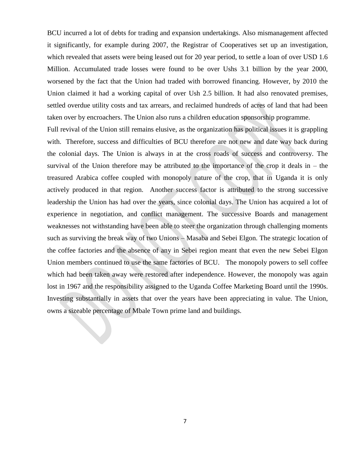BCU incurred a lot of debts for trading and expansion undertakings. Also mismanagement affected it significantly, for example during 2007, the Registrar of Cooperatives set up an investigation, which revealed that assets were being leased out for 20 year period, to settle a loan of over USD 1.6 Million. Accumulated trade losses were found to be over Ushs 3.1 billion by the year 2000, worsened by the fact that the Union had traded with borrowed financing. However, by 2010 the Union claimed it had a working capital of over Ush 2.5 billion. It had also renovated premises, settled overdue utility costs and tax arrears, and reclaimed hundreds of acres of land that had been taken over by encroachers. The Union also runs a children education sponsorship programme.

Full revival of the Union still remains elusive, as the organization has political issues it is grappling with. Therefore, success and difficulties of BCU therefore are not new and date way back during the colonial days. The Union is always in at the cross roads of success and controversy. The survival of the Union therefore may be attributed to the importance of the crop it deals in  $-$  the treasured Arabica coffee coupled with monopoly nature of the crop, that in Uganda it is only actively produced in that region. Another success factor is attributed to the strong successive leadership the Union has had over the years, since colonial days. The Union has acquired a lot of experience in negotiation, and conflict management. The successive Boards and management weaknesses not withstanding have been able to steer the organization through challenging moments such as surviving the break way of two Unions – Masaba and Sebei Elgon. The strategic location of the coffee factories and the absence of any in Sebei region meant that even the new Sebei Elgon Union members continued to use the same factories of BCU. The monopoly powers to sell coffee which had been taken away were restored after independence. However, the monopoly was again lost in 1967 and the responsibility assigned to the Uganda Coffee Marketing Board until the 1990s. Investing substantially in assets that over the years have been appreciating in value. The Union, owns a sizeable percentage of Mbale Town prime land and buildings.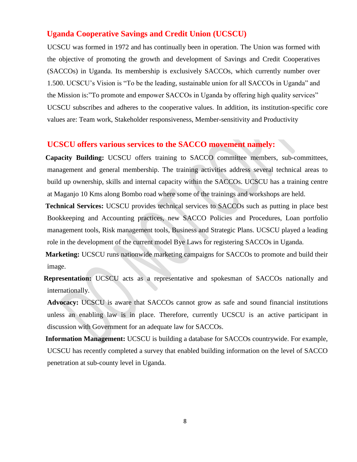#### **Uganda Cooperative Savings and Credit Union (UCSCU)**

UCSCU was formed in 1972 and has continually been in operation. The Union was formed with the objective of promoting the growth and development of Savings and Credit Cooperatives (SACCOs) in Uganda. Its membership is exclusively SACCOs, which currently number over 1.500. UCSCU's Vision is "To be the leading, sustainable union for all SACCOs in Uganda" and the Mission is:"To promote and empower SACCOs in Uganda by offering high quality services" UCSCU subscribes and adheres to the cooperative values. In addition, its institution-specific core values are: Team work, Stakeholder responsiveness, Member-sensitivity and Productivity

## **UCSCU offers various services to the SACCO movement namely:**

 **Capacity Building:** UCSCU offers training to SACCO committee members, sub-committees, management and general membership. The training activities address several technical areas to build up ownership, skills and internal capacity within the SACCOs. UCSCU has a training centre at Maganjo 10 Kms along Bombo road where some of the trainings and workshops are held.

 **Technical Services:** UCSCU provides technical services to SACCOs such as putting in place best Bookkeeping and Accounting practices, new SACCO Policies and Procedures, Loan portfolio management tools, Risk management tools, Business and Strategic Plans. UCSCU played a leading role in the development of the current model Bye Laws for registering SACCOs in Uganda.

 **Marketing:** UCSCU runs nationwide marketing campaigns for SACCOs to promote and build their image.

 **Representation:** UCSCU acts as a representative and spokesman of SACCOs nationally and internationally.

 **Advocacy:** UCSCU is aware that SACCOs cannot grow as safe and sound financial institutions unless an enabling law is in place. Therefore, currently UCSCU is an active participant in discussion with Government for an adequate law for SACCOs.

 **Information Management:** UCSCU is building a database for SACCOs countrywide. For example, UCSCU has recently completed a survey that enabled building information on the level of SACCO penetration at sub-county level in Uganda.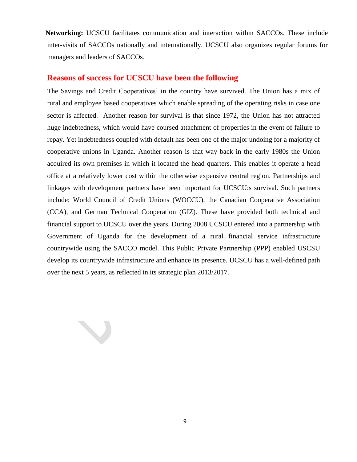**Networking:** UCSCU facilitates communication and interaction within SACCOs. These include inter-visits of SACCOs nationally and internationally. UCSCU also organizes regular forums for managers and leaders of SACCOs.

## **Reasons of success for UCSCU have been the following**

N

The Savings and Credit Cooperatives' in the country have survived. The Union has a mix of rural and employee based cooperatives which enable spreading of the operating risks in case one sector is affected. Another reason for survival is that since 1972, the Union has not attracted huge indebtedness, which would have coursed attachment of properties in the event of failure to repay. Yet indebtedness coupled with default has been one of the major undoing for a majority of cooperative unions in Uganda. Another reason is that way back in the early 1980s the Union acquired its own premises in which it located the head quarters. This enables it operate a head office at a relatively lower cost within the otherwise expensive central region. Partnerships and linkages with development partners have been important for UCSCU;s survival. Such partners include: World Council of Credit Unions (WOCCU), the Canadian Cooperative Association (CCA), and German Technical Cooperation (GIZ). These have provided both technical and financial support to UCSCU over the years. During 2008 UCSCU entered into a partnership with Government of Uganda for the development of a rural financial service infrastructure countrywide using the SACCO model. This Public Private Partnership (PPP) enabled USCSU develop its countrywide infrastructure and enhance its presence. UCSCU has a well-defined path over the next 5 years, as reflected in its strategic plan 2013/2017.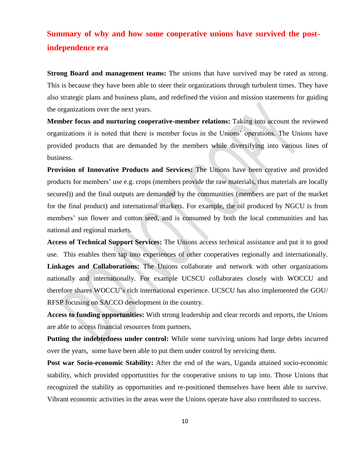## **Summary of why and how some cooperative unions have survived the postindependence era**

**Strong Board and management teams:** The unions that have survived may be rated as strong. This is because they have been able to steer their organizations through turbulent times. They have also strategic plans and business plans, and redefined the vision and mission statements for guiding the organizations over the next years.

**Member focus and nurturing cooperative-member relations:** Taking into account the reviewed organizations it is noted that there is member focus in the Unions' operations. The Unions have provided products that are demanded by the members while diversifying into various lines of business.

**Provision of Innovative Products and Services:** The Unions have been creative and provided products for members' use e.g. crops (members provide the raw materials, thus materials are locally secured)) and the final outputs are demanded by the communities (members are part of the market for the final product) and international markets. For example, the oil produced by NGCU is from members' sun flower and cotton seed, and is consumed by both the local communities and has national and regional markets.

**Access of Technical Support Services:** The Unions access technical assistance and put it to good use. This enables them tap into experiences of other cooperatives regionally and internationally. **Linkages and Collaborations:** The Unions collaborate and network with other organizations nationally and internationally. For example UCSCU collaborates closely with WOCCU and therefore shares WOCCU's rich international experience. UCSCU has also implemented the GOU/ RFSP focusing on SACCO development in the country.

**Access to funding opportunities:** With strong leadership and clear records and reports, the Unions are able to access financial resources from partners.

**Putting the indebtedness under control:** While some surviving unions had large debts incurred over the years, some have been able to put them under control by servicing them.

**Post war Socio-economic Stability:** After the end of the wars, Uganda attained socio-economic stability, which provided opportunities for the cooperative unions to tap into. Those Unions that recognized the stability as opportunities and re-positioned themselves have been able to survive. Vibrant economic activities in the areas were the Unions operate have also contributed to success.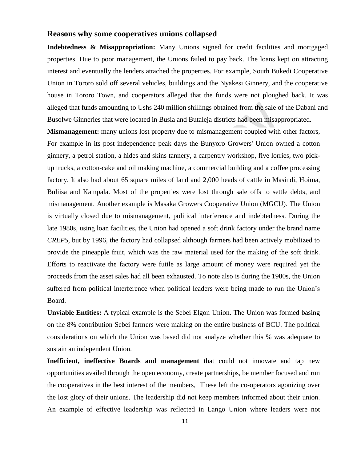#### **Reasons why some cooperatives unions collapsed**

**Indebtedness & Misappropriation:** Many Unions signed for credit facilities and mortgaged properties. Due to poor management, the Unions failed to pay back. The loans kept on attracting interest and eventually the lenders attached the properties. For example, South Bukedi Cooperative Union in Tororo sold off several vehicles, buildings and the Nyakesi Ginnery, and the cooperative house in Tororo Town, and cooperators alleged that the funds were not ploughed back. It was alleged that funds amounting to Ushs 240 million shillings obtained from the sale of the Dabani and Busolwe Ginneries that were located in Busia and Butaleja districts had been misappropriated.

**Mismanagement:** many unions lost property due to mismanagement coupled with other factors, For example in its post independence peak days the Bunyoro Growers' Union owned a cotton ginnery, a petrol station, a hides and skins tannery, a carpentry workshop, five lorries, two pickup trucks, a cotton-cake and oil making machine, a commercial building and a coffee processing factory. It also had about 65 square miles of land and 2,000 heads of cattle in Masindi, Hoima, Buliisa and Kampala. Most of the properties were lost through sale offs to settle debts, and mismanagement. Another example is Masaka Growers Cooperative Union (MGCU). The Union is virtually closed due to mismanagement, political interference and indebtedness. During the late 1980s, using loan facilities, the Union had opened a soft drink factory under the brand name *CREPS*, but by 1996, the factory had collapsed although farmers had been actively mobilized to provide the pineapple fruit, which was the raw material used for the making of the soft drink. Efforts to reactivate the factory were futile as large amount of money were required yet the proceeds from the asset sales had all been exhausted. To note also is during the 1980s, the Union suffered from political interference when political leaders were being made to run the Union's Board.

**Unviable Entities:** A typical example is the Sebei Elgon Union. The Union was formed basing on the 8% contribution Sebei farmers were making on the entire business of BCU. The political considerations on which the Union was based did not analyze whether this % was adequate to sustain an independent Union.

**Inefficient, ineffective Boards and management** that could not innovate and tap new opportunities availed through the open economy, create partnerships, be member focused and run the cooperatives in the best interest of the members, These left the co-operators agonizing over the lost glory of their unions. The leadership did not keep members informed about their union. An example of effective leadership was reflected in Lango Union where leaders were not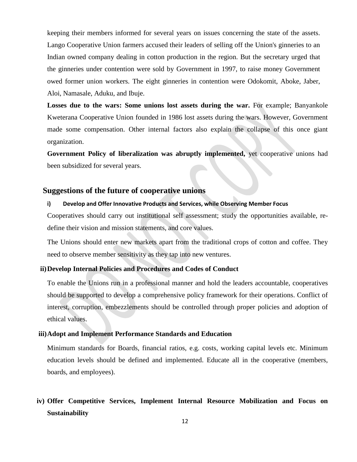keeping their members informed for several years on issues concerning the state of the assets. Lango Cooperative Union farmers accused their leaders of selling off the Union's ginneries to an Indian owned company dealing in cotton production in the region. But the secretary urged that the ginneries under contention were sold by Government in 1997, to raise money Government owed former union workers. The eight ginneries in contention were Odokomit, Aboke, Jaber, Aloi, Namasale, Aduku, and Ibuje.

Losses due to the wars: Some unions lost assets during the war. For example; Banyankole Kweterana Cooperative Union founded in 1986 lost assets during the wars. However, Government made some compensation. Other internal factors also explain the collapse of this once giant organization.

**Government Policy of liberalization was abruptly implemented,** yet cooperative unions had been subsidized for several years.

## **Suggestions of the future of cooperative unions**

#### **i) Develop and Offer Innovative Products and Services, while Observing Member Focus**

Cooperatives should carry out institutional self assessment; study the opportunities available, redefine their vision and mission statements, and core values.

The Unions should enter new markets apart from the traditional crops of cotton and coffee. They need to observe member sensitivity as they tap into new ventures.

#### **ii)Develop Internal Policies and Procedures and Codes of Conduct**

To enable the Unions run in a professional manner and hold the leaders accountable, cooperatives should be supported to develop a comprehensive policy framework for their operations. Conflict of interest, corruption, embezzlements should be controlled through proper policies and adoption of ethical values.

#### **iii)Adopt and Implement Performance Standards and Education**

Minimum standards for Boards, financial ratios, e.g. costs, working capital levels etc. Minimum education levels should be defined and implemented. Educate all in the cooperative (members, boards, and employees).

## **iv) Offer Competitive Services, Implement Internal Resource Mobilization and Focus on Sustainability**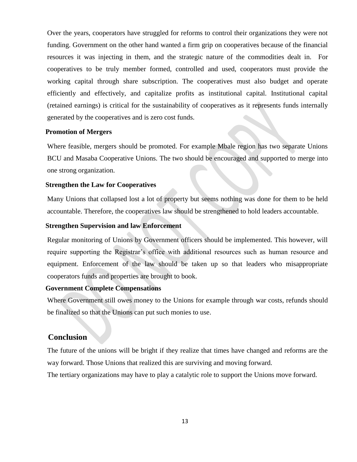Over the years, cooperators have struggled for reforms to control their organizations they were not funding. Government on the other hand wanted a firm grip on cooperatives because of the financial resources it was injecting in them, and the strategic nature of the commodities dealt in. For cooperatives to be truly member formed, controlled and used, cooperators must provide the working capital through share subscription. The cooperatives must also budget and operate efficiently and effectively, and capitalize profits as institutional capital. Institutional capital (retained earnings) is critical for the sustainability of cooperatives as it represents funds internally generated by the cooperatives and is zero cost funds.

#### **Promotion of Mergers**

Where feasible, mergers should be promoted. For example Mbale region has two separate Unions BCU and Masaba Cooperative Unions. The two should be encouraged and supported to merge into one strong organization.

#### **Strengthen the Law for Cooperatives**

Many Unions that collapsed lost a lot of property but seems nothing was done for them to be held accountable. Therefore, the cooperatives law should be strengthened to hold leaders accountable.

#### **Strengthen Supervision and law Enforcement**

Regular monitoring of Unions by Government officers should be implemented. This however, will require supporting the Registrar's office with additional resources such as human resource and equipment. Enforcement of the law should be taken up so that leaders who misappropriate cooperators funds and properties are brought to book.

#### **Government Complete Compensations**

Where Government still owes money to the Unions for example through war costs, refunds should be finalized so that the Unions can put such monies to use.

## **Conclusion**

The future of the unions will be bright if they realize that times have changed and reforms are the way forward. Those Unions that realized this are surviving and moving forward.

The tertiary organizations may have to play a catalytic role to support the Unions move forward.